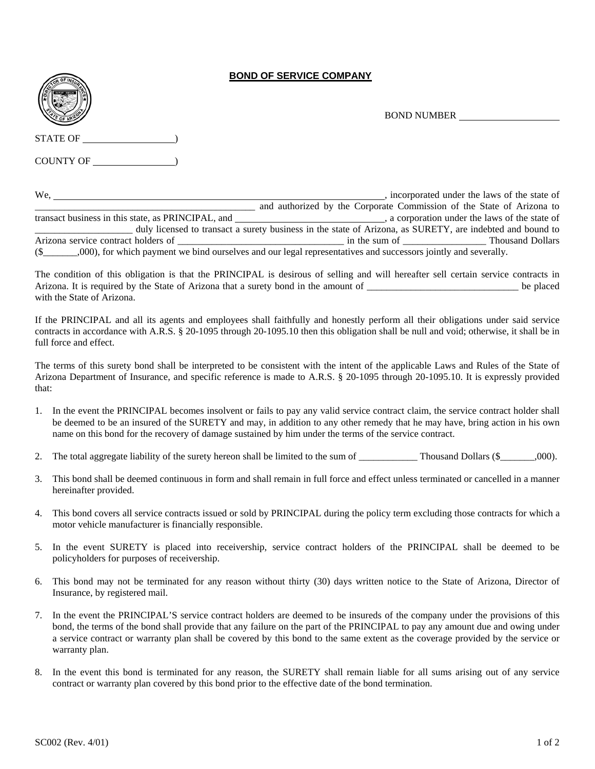## **BOND OF SERVICE COMPANY**



BOND NUMBER

COUNTY OF  $\hspace{2cm}$ 

We, <u>the state of</u> the state of the state of the state of the state of the state of the state of the state of the state of the state of the state of the state of the state of the state of the state of the state of the stat and authorized by the Corporate Commission of the State of Arizona to transact business in this state, as PRINCIPAL, and \_\_\_\_\_\_\_\_\_\_\_\_\_\_\_\_\_\_\_\_\_\_\_\_\_\_\_\_\_, a corporation under the laws of the state of \_\_\_\_\_\_\_\_\_\_\_\_\_\_\_\_\_\_\_\_ duly licensed to transact a surety business in the state of Arizona, as SURETY, are indebted and bound to Arizona service contract holders of \_\_\_\_\_\_\_\_\_\_\_\_\_\_\_\_\_\_\_\_\_\_\_\_\_\_\_\_\_\_\_\_\_\_ in the sum of \_\_\_\_\_\_\_\_\_\_\_\_\_\_\_\_\_ Thousand Dollars (\$\_\_\_\_\_\_\_,000), for which payment we bind ourselves and our legal representatives and successors jointly and severally.

The condition of this obligation is that the PRINCIPAL is desirous of selling and will hereafter sell certain service contracts in Arizona. It is required by the State of Arizona that a surety bond in the amount of \_\_\_\_\_\_\_\_\_\_\_\_\_\_\_\_\_\_\_\_\_\_\_\_\_\_\_\_\_\_\_ be placed with the State of Arizona.

If the PRINCIPAL and all its agents and employees shall faithfully and honestly perform all their obligations under said service contracts in accordance with A.R.S. § 20-1095 through 20-1095.10 then this obligation shall be null and void; otherwise, it shall be in full force and effect.

The terms of this surety bond shall be interpreted to be consistent with the intent of the applicable Laws and Rules of the State of Arizona Department of Insurance, and specific reference is made to A.R.S. § 20-1095 through 20-1095.10. It is expressly provided that:

- 1. In the event the PRINCIPAL becomes insolvent or fails to pay any valid service contract claim, the service contract holder shall be deemed to be an insured of the SURETY and may, in addition to any other remedy that he may have, bring action in his own name on this bond for the recovery of damage sustained by him under the terms of the service contract.
- 2. The total aggregate liability of the surety hereon shall be limited to the sum of  $\blacksquare$  Thousand Dollars (\$ $\blacksquare$ ,000).
- 3. This bond shall be deemed continuous in form and shall remain in full force and effect unless terminated or cancelled in a manner hereinafter provided.
- 4. This bond covers all service contracts issued or sold by PRINCIPAL during the policy term excluding those contracts for which a motor vehicle manufacturer is financially responsible.
- 5. In the event SURETY is placed into receivership, service contract holders of the PRINCIPAL shall be deemed to be policyholders for purposes of receivership.
- 6. This bond may not be terminated for any reason without thirty (30) days written notice to the State of Arizona, Director of Insurance, by registered mail.
- 7. In the event the PRINCIPAL'S service contract holders are deemed to be insureds of the company under the provisions of this bond, the terms of the bond shall provide that any failure on the part of the PRINCIPAL to pay any amount due and owing under a service contract or warranty plan shall be covered by this bond to the same extent as the coverage provided by the service or warranty plan.
- 8. In the event this bond is terminated for any reason, the SURETY shall remain liable for all sums arising out of any service contract or warranty plan covered by this bond prior to the effective date of the bond termination.